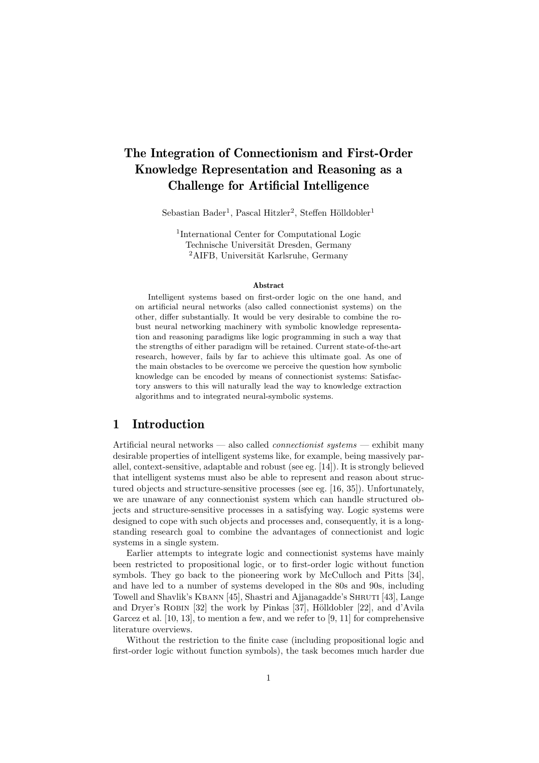# The Integration of Connectionism and First-Order Knowledge Representation and Reasoning as a Challenge for Artificial Intelligence

Sebastian Bader<sup>1</sup>, Pascal Hitzler<sup>2</sup>, Steffen Hölldobler<sup>1</sup>

1 International Center for Computational Logic Technische Universität Dresden, Germany  ${}^{2}$ AIFB, Universität Karlsruhe, Germany

#### Abstract

Intelligent systems based on first-order logic on the one hand, and on artificial neural networks (also called connectionist systems) on the other, differ substantially. It would be very desirable to combine the robust neural networking machinery with symbolic knowledge representation and reasoning paradigms like logic programming in such a way that the strengths of either paradigm will be retained. Current state-of-the-art research, however, fails by far to achieve this ultimate goal. As one of the main obstacles to be overcome we perceive the question how symbolic knowledge can be encoded by means of connectionist systems: Satisfactory answers to this will naturally lead the way to knowledge extraction algorithms and to integrated neural-symbolic systems.

## 1 Introduction

Artificial neural networks — also called connectionist systems — exhibit many desirable properties of intelligent systems like, for example, being massively parallel, context-sensitive, adaptable and robust (see eg. [14]). It is strongly believed that intelligent systems must also be able to represent and reason about structured objects and structure-sensitive processes (see eg. [16, 35]). Unfortunately, we are unaware of any connectionist system which can handle structured objects and structure-sensitive processes in a satisfying way. Logic systems were designed to cope with such objects and processes and, consequently, it is a longstanding research goal to combine the advantages of connectionist and logic systems in a single system.

Earlier attempts to integrate logic and connectionist systems have mainly been restricted to propositional logic, or to first-order logic without function symbols. They go back to the pioneering work by McCulloch and Pitts [34], and have led to a number of systems developed in the 80s and 90s, including Towell and Shavlik's KBANN [45], Shastri and Ajjanagadde's SHRUTI [43], Lange and Dryer's ROBIN  $[32]$  the work by Pinkas  $[37]$ , Hölldobler  $[22]$ , and d'Avila Garcez et al. [10, 13], to mention a few, and we refer to [9, 11] for comprehensive literature overviews.

Without the restriction to the finite case (including propositional logic and first-order logic without function symbols), the task becomes much harder due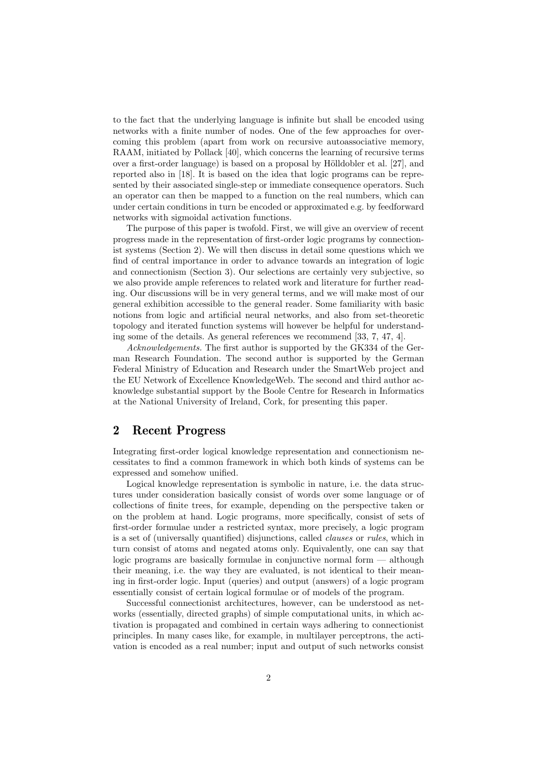to the fact that the underlying language is infinite but shall be encoded using networks with a finite number of nodes. One of the few approaches for overcoming this problem (apart from work on recursive autoassociative memory, RAAM, initiated by Pollack [40], which concerns the learning of recursive terms over a first-order language) is based on a proposal by Hölldobler et al. [27], and reported also in [18]. It is based on the idea that logic programs can be represented by their associated single-step or immediate consequence operators. Such an operator can then be mapped to a function on the real numbers, which can under certain conditions in turn be encoded or approximated e.g. by feedforward networks with sigmoidal activation functions.

The purpose of this paper is twofold. First, we will give an overview of recent progress made in the representation of first-order logic programs by connectionist systems (Section 2). We will then discuss in detail some questions which we find of central importance in order to advance towards an integration of logic and connectionism (Section 3). Our selections are certainly very subjective, so we also provide ample references to related work and literature for further reading. Our discussions will be in very general terms, and we will make most of our general exhibition accessible to the general reader. Some familiarity with basic notions from logic and artificial neural networks, and also from set-theoretic topology and iterated function systems will however be helpful for understanding some of the details. As general references we recommend [33, 7, 47, 4].

Acknowledgements. The first author is supported by the GK334 of the German Research Foundation. The second author is supported by the German Federal Ministry of Education and Research under the SmartWeb project and the EU Network of Excellence KnowledgeWeb. The second and third author acknowledge substantial support by the Boole Centre for Research in Informatics at the National University of Ireland, Cork, for presenting this paper.

# 2 Recent Progress

Integrating first-order logical knowledge representation and connectionism necessitates to find a common framework in which both kinds of systems can be expressed and somehow unified.

Logical knowledge representation is symbolic in nature, i.e. the data structures under consideration basically consist of words over some language or of collections of finite trees, for example, depending on the perspective taken or on the problem at hand. Logic programs, more specifically, consist of sets of first-order formulae under a restricted syntax, more precisely, a logic program is a set of (universally quantified) disjunctions, called clauses or rules, which in turn consist of atoms and negated atoms only. Equivalently, one can say that logic programs are basically formulae in conjunctive normal form — although their meaning, i.e. the way they are evaluated, is not identical to their meaning in first-order logic. Input (queries) and output (answers) of a logic program essentially consist of certain logical formulae or of models of the program.

Successful connectionist architectures, however, can be understood as networks (essentially, directed graphs) of simple computational units, in which activation is propagated and combined in certain ways adhering to connectionist principles. In many cases like, for example, in multilayer perceptrons, the activation is encoded as a real number; input and output of such networks consist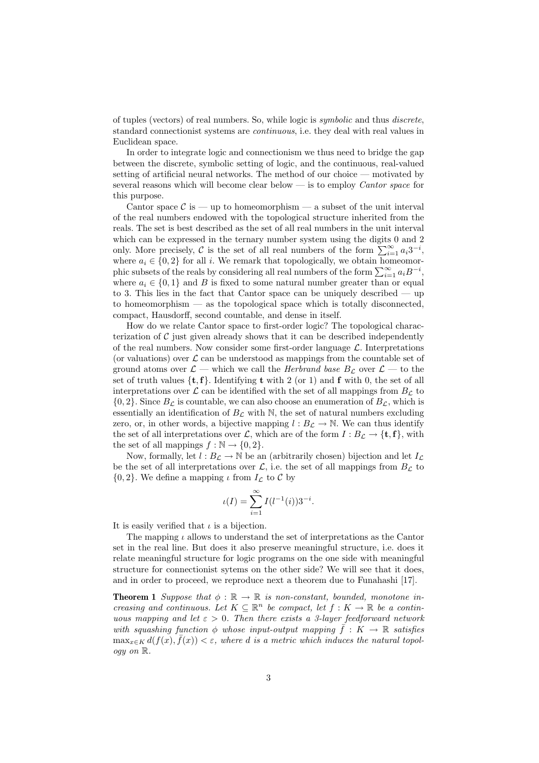of tuples (vectors) of real numbers. So, while logic is symbolic and thus discrete, standard connectionist systems are continuous, i.e. they deal with real values in Euclidean space.

In order to integrate logic and connectionism we thus need to bridge the gap between the discrete, symbolic setting of logic, and the continuous, real-valued setting of artificial neural networks. The method of our choice — motivated by several reasons which will become clear below  $\equiv$  is to employ *Cantor space* for this purpose.

Cantor space  $\mathcal{C}$  is — up to homeomorphism — a subset of the unit interval of the real numbers endowed with the topological structure inherited from the reals. The set is best described as the set of all real numbers in the unit interval which can be expressed in the ternary number system using the digits 0 and 2 only. More precisely, C is the set of all real numbers of the form  $\sum_{i=1}^{\infty} a_i 3^{-i}$ , where  $a_i \in \{0, 2\}$  for all i. We remark that topologically, we obtain homeomorphic subsets of the reals by considering all real numbers of the form  $\sum_{i=1}^{\infty} a_i B^{-i}$ , where  $a_i \in \{0,1\}$  and B is fixed to some natural number greater than or equal to 3. This lies in the fact that Cantor space can be uniquely described — up to homeomorphism — as the topological space which is totally disconnected, compact, Hausdorff, second countable, and dense in itself.

How do we relate Cantor space to first-order logic? The topological characterization of  $\mathcal C$  just given already shows that it can be described independently of the real numbers. Now consider some first-order language  $\mathcal{L}$ . Interpretations (or valuations) over  $\mathcal L$  can be understood as mappings from the countable set of ground atoms over  $\mathcal{L}$  — which we call the *Herbrand base*  $B_{\mathcal{L}}$  over  $\mathcal{L}$  — to the set of truth values  $\{t, f\}$ . Identifying t with 2 (or 1) and f with 0, the set of all interpretations over  $\mathcal L$  can be identified with the set of all mappings from  $B_{\mathcal L}$  to  ${0, 2}$ . Since  $B_{\mathcal{L}}$  is countable, we can also choose an enumeration of  $B_{\mathcal{L}}$ , which is essentially an identification of  $B_{\mathcal{L}}$  with N, the set of natural numbers excluding zero, or, in other words, a bijective mapping  $l : B_{\mathcal{L}} \to \mathbb{N}$ . We can thus identify the set of all interpretations over L, which are of the form  $I : B_{\mathcal{L}} \to \{\mathbf{t}, \mathbf{f}\}\,$  with the set of all mappings  $f : \mathbb{N} \to \{0, 2\}.$ 

Now, formally, let  $l : B_{\mathcal{L}} \to \mathbb{N}$  be an (arbitrarily chosen) bijection and let  $I_{\mathcal{L}}$ be the set of all interpretations over  $\mathcal{L}$ , i.e. the set of all mappings from  $B_{\mathcal{L}}$  to  $\{0,2\}$ . We define a mapping  $\iota$  from  $I_{\mathcal{L}}$  to  $\mathcal{C}$  by

$$
\iota(I) = \sum_{i=1}^{\infty} I(l^{-1}(i)) 3^{-i}.
$$

It is easily verified that  $\iota$  is a bijection.

The mapping  $\iota$  allows to understand the set of interpretations as the Cantor set in the real line. But does it also preserve meaningful structure, i.e. does it relate meaningful structure for logic programs on the one side with meaningful structure for connectionist sytems on the other side? We will see that it does, and in order to proceed, we reproduce next a theorem due to Funahashi [17].

**Theorem 1** Suppose that  $\phi : \mathbb{R} \to \mathbb{R}$  is non-constant, bounded, monotone increasing and continuous. Let  $K \subseteq \mathbb{R}^n$  be compact, let  $f: K \to \mathbb{R}$  be a continuous mapping and let  $\varepsilon > 0$ . Then there exists a 3-layer feedforward network with squashing function  $\phi$  whose input-output mapping  $\bar{f}: K \to \mathbb{R}$  satisfies  $\max_{x \in K} d(f(x), \overline{f}(x)) < \varepsilon$ , where d is a metric which induces the natural topology on R.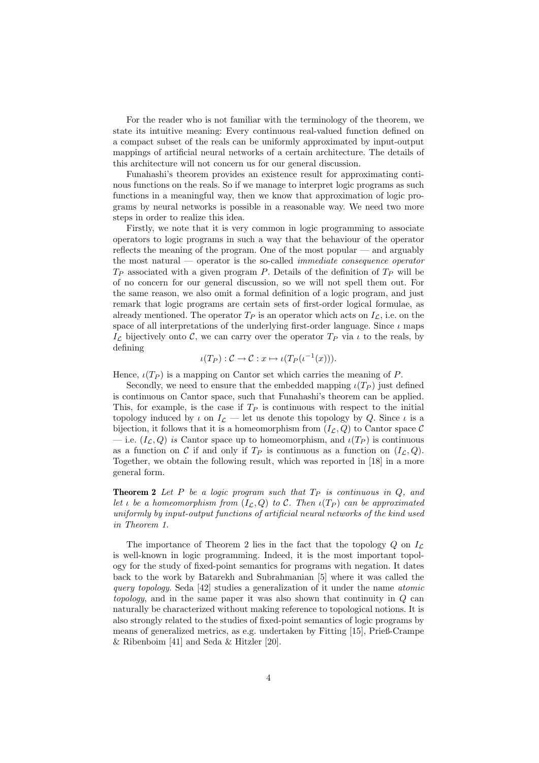For the reader who is not familiar with the terminology of the theorem, we state its intuitive meaning: Every continuous real-valued function defined on a compact subset of the reals can be uniformly approximated by input-output mappings of artificial neural networks of a certain architecture. The details of this architecture will not concern us for our general discussion.

Funahashi's theorem provides an existence result for approximating continous functions on the reals. So if we manage to interpret logic programs as such functions in a meaningful way, then we know that approximation of logic programs by neural networks is possible in a reasonable way. We need two more steps in order to realize this idea.

Firstly, we note that it is very common in logic programming to associate operators to logic programs in such a way that the behaviour of the operator reflects the meaning of the program. One of the most popular — and arguably the most natural — operator is the so-called immediate consequence operator  $T_P$  associated with a given program P. Details of the definition of  $T_P$  will be of no concern for our general discussion, so we will not spell them out. For the same reason, we also omit a formal definition of a logic program, and just remark that logic programs are certain sets of first-order logical formulae, as already mentioned. The operator  $T_P$  is an operator which acts on  $I_C$ , i.e. on the space of all interpretations of the underlying first-order language. Since  $\iota$  maps  $I_{\mathcal{L}}$  bijectively onto C, we can carry over the operator  $T_P$  via  $\iota$  to the reals, by defining

$$
\iota(T_P): \mathcal{C} \to \mathcal{C}: x \mapsto \iota(T_P(\iota^{-1}(x))).
$$

Hence,  $\iota(T_P)$  is a mapping on Cantor set which carries the meaning of P.

Secondly, we need to ensure that the embedded mapping  $\iota(T_P)$  just defined is continuous on Cantor space, such that Funahashi's theorem can be applied. This, for example, is the case if  $T_P$  is continuous with respect to the initial topology induced by  $\iota$  on  $I_{\mathcal{L}}$  — let us denote this topology by Q. Since  $\iota$  is a bijection, it follows that it is a homeomorphism from  $(I_{\mathcal{L}}, Q)$  to Cantor space C — i.e.  $(I_{\mathcal{L}}, Q)$  is Cantor space up to homeomorphism, and  $\iota(T_P)$  is continuous as a function on C if and only if  $T_P$  is continuous as a function on  $(I_{\mathcal{L}}, Q)$ . Together, we obtain the following result, which was reported in [18] in a more general form.

**Theorem 2** Let P be a logic program such that  $T_P$  is continuous in  $Q$ , and let  $\iota$  be a homeomorphism from  $(I_{\mathcal{L}}, Q)$  to C. Then  $\iota(T_P)$  can be approximated uniformly by input-output functions of artificial neural networks of the kind used in Theorem 1.

The importance of Theorem 2 lies in the fact that the topology  $Q$  on  $I_{\mathcal{L}}$ is well-known in logic programming. Indeed, it is the most important topology for the study of fixed-point semantics for programs with negation. It dates back to the work by Batarekh and Subrahmanian [5] where it was called the query topology. Seda [42] studies a generalization of it under the name atomic topology, and in the same paper it was also shown that continuity in Q can naturally be characterized without making reference to topological notions. It is also strongly related to the studies of fixed-point semantics of logic programs by means of generalized metrics, as e.g. undertaken by Fitting [15], Prieß-Crampe & Ribenboim [41] and Seda & Hitzler [20].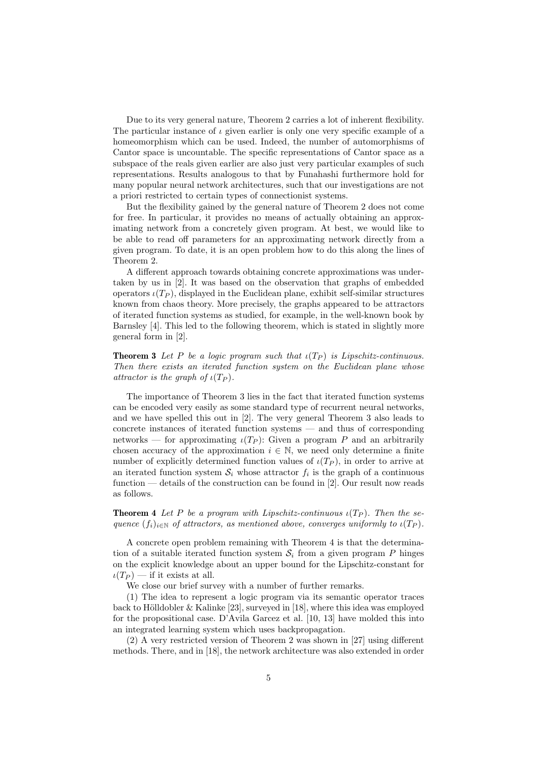Due to its very general nature, Theorem 2 carries a lot of inherent flexibility. The particular instance of  $\iota$  given earlier is only one very specific example of a homeomorphism which can be used. Indeed, the number of automorphisms of Cantor space is uncountable. The specific representations of Cantor space as a subspace of the reals given earlier are also just very particular examples of such representations. Results analogous to that by Funahashi furthermore hold for many popular neural network architectures, such that our investigations are not a priori restricted to certain types of connectionist systems.

But the flexibility gained by the general nature of Theorem 2 does not come for free. In particular, it provides no means of actually obtaining an approximating network from a concretely given program. At best, we would like to be able to read off parameters for an approximating network directly from a given program. To date, it is an open problem how to do this along the lines of Theorem 2.

A different approach towards obtaining concrete approximations was undertaken by us in [2]. It was based on the observation that graphs of embedded operators  $\iota(T_P)$ , displayed in the Euclidean plane, exhibit self-similar structures known from chaos theory. More precisely, the graphs appeared to be attractors of iterated function systems as studied, for example, in the well-known book by Barnsley [4]. This led to the following theorem, which is stated in slightly more general form in [2].

**Theorem 3** Let P be a logic program such that  $\iota(T_P)$  is Lipschitz-continuous. Then there exists an iterated function system on the Euclidean plane whose attractor is the graph of  $\iota(T_P)$ .

The importance of Theorem 3 lies in the fact that iterated function systems can be encoded very easily as some standard type of recurrent neural networks, and we have spelled this out in [2]. The very general Theorem 3 also leads to concrete instances of iterated function systems — and thus of corresponding networks — for approximating  $\iota(T_P)$ : Given a program P and an arbitrarily chosen accuracy of the approximation  $i \in \mathbb{N}$ , we need only determine a finite number of explicitly determined function values of  $\iota(T_P)$ , in order to arrive at an iterated function system  $S_i$  whose attractor  $f_i$  is the graph of a continuous function — details of the construction can be found in [2]. Our result now reads as follows.

**Theorem 4** Let P be a program with Lipschitz-continuous  $\iota(T_P)$ . Then the sequence  $(f_i)_{i\in\mathbb{N}}$  of attractors, as mentioned above, converges uniformly to  $\iota(T_P)$ .

A concrete open problem remaining with Theorem 4 is that the determination of a suitable iterated function system  $S_i$  from a given program P hinges on the explicit knowledge about an upper bound for the Lipschitz-constant for  $\iota(T_P)$  — if it exists at all.

We close our brief survey with a number of further remarks.

(1) The idea to represent a logic program via its semantic operator traces back to Hölldobler & Kalinke [23], surveyed in [18], where this idea was employed for the propositional case. D'Avila Garcez et al. [10, 13] have molded this into an integrated learning system which uses backpropagation.

(2) A very restricted version of Theorem 2 was shown in [27] using different methods. There, and in [18], the network architecture was also extended in order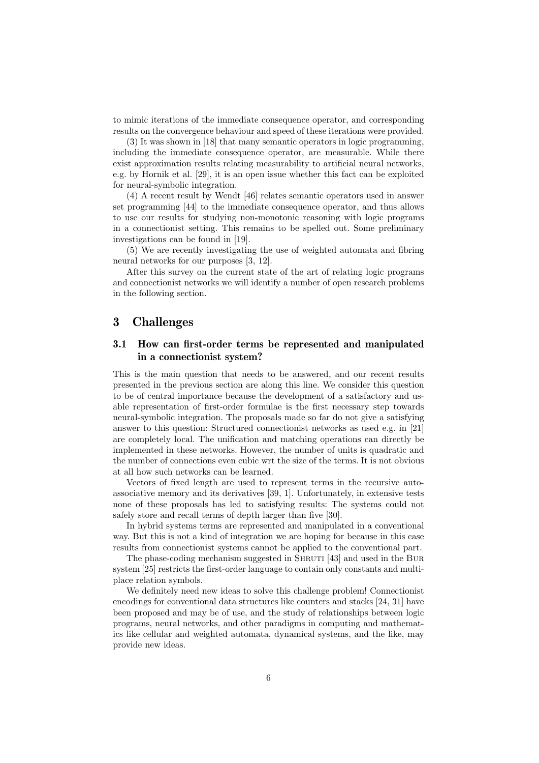to mimic iterations of the immediate consequence operator, and corresponding results on the convergence behaviour and speed of these iterations were provided.

(3) It was shown in [18] that many semantic operators in logic programming, including the immediate consequence operator, are measurable. While there exist approximation results relating measurability to artificial neural networks, e.g. by Hornik et al. [29], it is an open issue whether this fact can be exploited for neural-symbolic integration.

(4) A recent result by Wendt [46] relates semantic operators used in answer set programming [44] to the immediate consequence operator, and thus allows to use our results for studying non-monotonic reasoning with logic programs in a connectionist setting. This remains to be spelled out. Some preliminary investigations can be found in [19].

(5) We are recently investigating the use of weighted automata and fibring neural networks for our purposes [3, 12].

After this survey on the current state of the art of relating logic programs and connectionist networks we will identify a number of open research problems in the following section.

# 3 Challenges

#### 3.1 How can first-order terms be represented and manipulated in a connectionist system?

This is the main question that needs to be answered, and our recent results presented in the previous section are along this line. We consider this question to be of central importance because the development of a satisfactory and usable representation of first-order formulae is the first necessary step towards neural-symbolic integration. The proposals made so far do not give a satisfying answer to this question: Structured connectionist networks as used e.g. in [21] are completely local. The unification and matching operations can directly be implemented in these networks. However, the number of units is quadratic and the number of connections even cubic wrt the size of the terms. It is not obvious at all how such networks can be learned.

Vectors of fixed length are used to represent terms in the recursive autoassociative memory and its derivatives [39, 1]. Unfortunately, in extensive tests none of these proposals has led to satisfying results: The systems could not safely store and recall terms of depth larger than five [30].

In hybrid systems terms are represented and manipulated in a conventional way. But this is not a kind of integration we are hoping for because in this case results from connectionist systems cannot be applied to the conventional part.

The phase-coding mechanism suggested in SHRUTI [43] and used in the BUR system [25] restricts the first-order language to contain only constants and multiplace relation symbols.

We definitely need new ideas to solve this challenge problem! Connectionist encodings for conventional data structures like counters and stacks [24, 31] have been proposed and may be of use, and the study of relationships between logic programs, neural networks, and other paradigms in computing and mathematics like cellular and weighted automata, dynamical systems, and the like, may provide new ideas.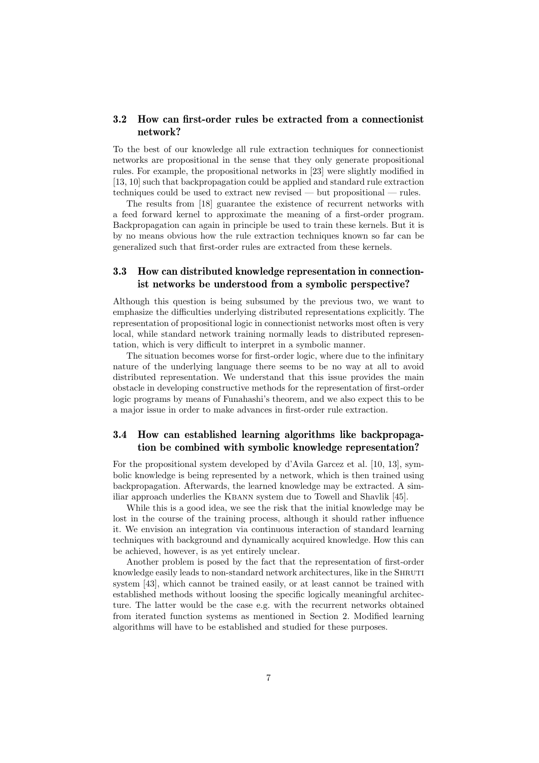#### 3.2 How can first-order rules be extracted from a connectionist network?

To the best of our knowledge all rule extraction techniques for connectionist networks are propositional in the sense that they only generate propositional rules. For example, the propositional networks in [23] were slightly modified in [13, 10] such that backpropagation could be applied and standard rule extraction techniques could be used to extract new revised — but propositional — rules.

The results from [18] guarantee the existence of recurrent networks with a feed forward kernel to approximate the meaning of a first-order program. Backpropagation can again in principle be used to train these kernels. But it is by no means obvious how the rule extraction techniques known so far can be generalized such that first-order rules are extracted from these kernels.

#### 3.3 How can distributed knowledge representation in connectionist networks be understood from a symbolic perspective?

Although this question is being subsumed by the previous two, we want to emphasize the difficulties underlying distributed representations explicitly. The representation of propositional logic in connectionist networks most often is very local, while standard network training normally leads to distributed representation, which is very difficult to interpret in a symbolic manner.

The situation becomes worse for first-order logic, where due to the infinitary nature of the underlying language there seems to be no way at all to avoid distributed representation. We understand that this issue provides the main obstacle in developing constructive methods for the representation of first-order logic programs by means of Funahashi's theorem, and we also expect this to be a major issue in order to make advances in first-order rule extraction.

#### 3.4 How can established learning algorithms like backpropagation be combined with symbolic knowledge representation?

For the propositional system developed by d'Avila Garcez et al. [10, 13], symbolic knowledge is being represented by a network, which is then trained using backpropagation. Afterwards, the learned knowledge may be extracted. A similiar approach underlies the KBANN system due to Towell and Shavlik [45].

While this is a good idea, we see the risk that the initial knowledge may be lost in the course of the training process, although it should rather influence it. We envision an integration via continuous interaction of standard learning techniques with background and dynamically acquired knowledge. How this can be achieved, however, is as yet entirely unclear.

Another problem is posed by the fact that the representation of first-order knowledge easily leads to non-standard network architectures, like in the SHRUTI system [43], which cannot be trained easily, or at least cannot be trained with established methods without loosing the specific logically meaningful architecture. The latter would be the case e.g. with the recurrent networks obtained from iterated function systems as mentioned in Section 2. Modified learning algorithms will have to be established and studied for these purposes.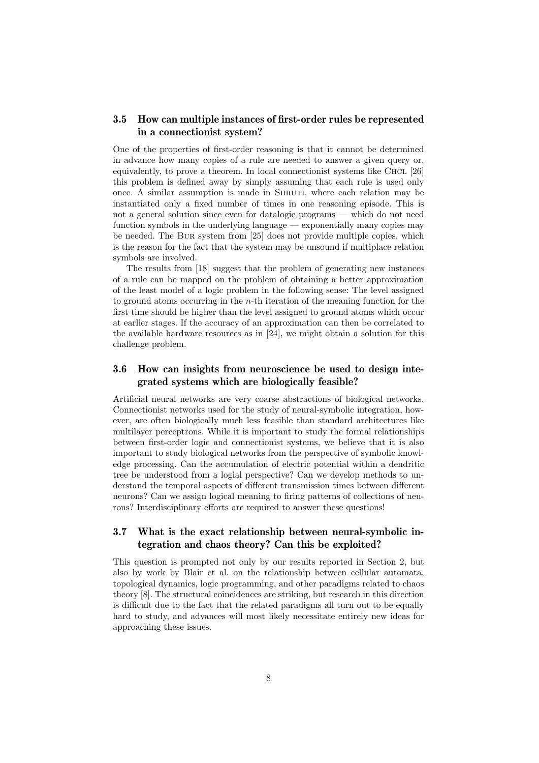#### 3.5 How can multiple instances of first-order rules be represented in a connectionist system?

One of the properties of first-order reasoning is that it cannot be determined in advance how many copies of a rule are needed to answer a given query or, equivalently, to prove a theorem. In local connectionist systems like CHCL  $[26]$ this problem is defined away by simply assuming that each rule is used only once. A similar assumption is made in SHRUTI, where each relation may be instantiated only a fixed number of times in one reasoning episode. This is not a general solution since even for datalogic programs — which do not need function symbols in the underlying language — exponentially many copies may be needed. The Bur system from [25] does not provide multiple copies, which is the reason for the fact that the system may be unsound if multiplace relation symbols are involved.

The results from [18] suggest that the problem of generating new instances of a rule can be mapped on the problem of obtaining a better approximation of the least model of a logic problem in the following sense: The level assigned to ground atoms occurring in the n-th iteration of the meaning function for the first time should be higher than the level assigned to ground atoms which occur at earlier stages. If the accuracy of an approximation can then be correlated to the available hardware resources as in [24], we might obtain a solution for this challenge problem.

#### 3.6 How can insights from neuroscience be used to design integrated systems which are biologically feasible?

Artificial neural networks are very coarse abstractions of biological networks. Connectionist networks used for the study of neural-symbolic integration, however, are often biologically much less feasible than standard architectures like multilayer perceptrons. While it is important to study the formal relationships between first-order logic and connectionist systems, we believe that it is also important to study biological networks from the perspective of symbolic knowledge processing. Can the accumulation of electric potential within a dendritic tree be understood from a logial perspective? Can we develop methods to understand the temporal aspects of different transmission times between different neurons? Can we assign logical meaning to firing patterns of collections of neurons? Interdisciplinary efforts are required to answer these questions!

## 3.7 What is the exact relationship between neural-symbolic integration and chaos theory? Can this be exploited?

This question is prompted not only by our results reported in Section 2, but also by work by Blair et al. on the relationship between cellular automata, topological dynamics, logic programming, and other paradigms related to chaos theory [8]. The structural coincidences are striking, but research in this direction is difficult due to the fact that the related paradigms all turn out to be equally hard to study, and advances will most likely necessitate entirely new ideas for approaching these issues.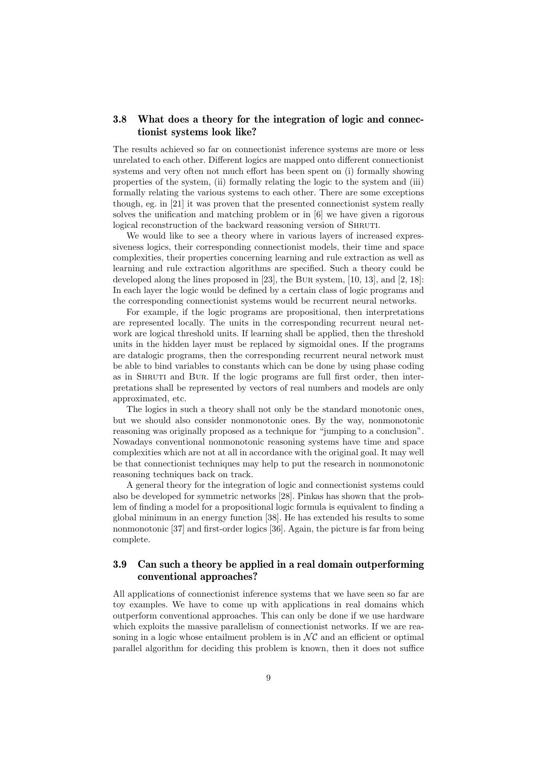#### 3.8 What does a theory for the integration of logic and connectionist systems look like?

The results achieved so far on connectionist inference systems are more or less unrelated to each other. Different logics are mapped onto different connectionist systems and very often not much effort has been spent on (i) formally showing properties of the system, (ii) formally relating the logic to the system and (iii) formally relating the various systems to each other. There are some exceptions though, eg. in [21] it was proven that the presented connectionist system really solves the unification and matching problem or in [6] we have given a rigorous logical reconstruction of the backward reasoning version of SHRUTI.

We would like to see a theory where in various layers of increased expressiveness logics, their corresponding connectionist models, their time and space complexities, their properties concerning learning and rule extraction as well as learning and rule extraction algorithms are specified. Such a theory could be developed along the lines proposed in [23], the Bur system, [10, 13], and [2, 18]: In each layer the logic would be defined by a certain class of logic programs and the corresponding connectionist systems would be recurrent neural networks.

For example, if the logic programs are propositional, then interpretations are represented locally. The units in the corresponding recurrent neural network are logical threshold units. If learning shall be applied, then the threshold units in the hidden layer must be replaced by sigmoidal ones. If the programs are datalogic programs, then the corresponding recurrent neural network must be able to bind variables to constants which can be done by using phase coding as in Shruti and Bur. If the logic programs are full first order, then interpretations shall be represented by vectors of real numbers and models are only approximated, etc.

The logics in such a theory shall not only be the standard monotonic ones, but we should also consider nonmonotonic ones. By the way, nonmonotonic reasoning was originally proposed as a technique for "jumping to a conclusion". Nowadays conventional nonmonotonic reasoning systems have time and space complexities which are not at all in accordance with the original goal. It may well be that connectionist techniques may help to put the research in nonmonotonic reasoning techniques back on track.

A general theory for the integration of logic and connectionist systems could also be developed for symmetric networks [28]. Pinkas has shown that the problem of finding a model for a propositional logic formula is equivalent to finding a global minimum in an energy function [38]. He has extended his results to some nonmonotonic [37] and first-order logics [36]. Again, the picture is far from being complete.

#### 3.9 Can such a theory be applied in a real domain outperforming conventional approaches?

All applications of connectionist inference systems that we have seen so far are toy examples. We have to come up with applications in real domains which outperform conventional approaches. This can only be done if we use hardware which exploits the massive parallelism of connectionist networks. If we are reasoning in a logic whose entailment problem is in  $\mathcal{NC}$  and an efficient or optimal parallel algorithm for deciding this problem is known, then it does not suffice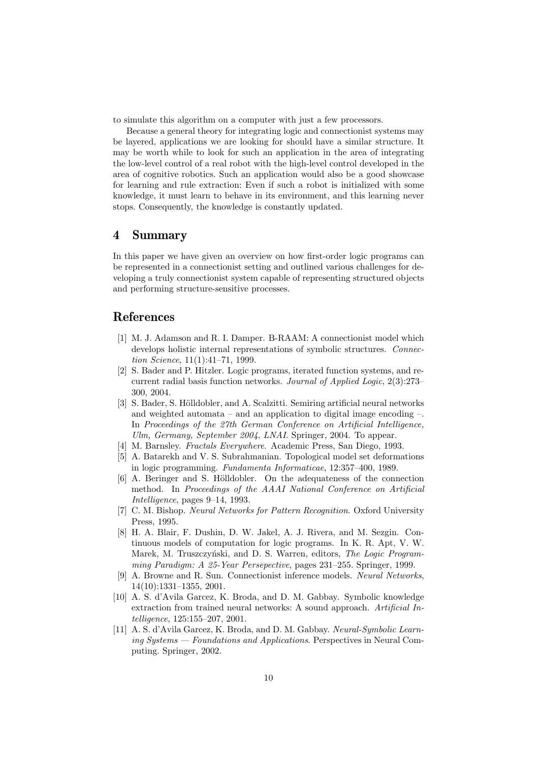to simulate this algorithm on a computer with just a few processors.

Because a general theory for integrating logic and connectionist systems may be layered, applications we are looking for should have a similar structure. It may be worth while to look for such an application in the area of integrating the low-level control of a real robot with the high-level control developed in the area of cognitive robotics. Such an application would also be a good showcase for learning and rule extraction: Even if such a robot is initialized with some knowledge, it must learn to behave in its environment, and this learning never stops. Consequently, the knowledge is constantly updated.

# 4 Summary

In this paper we have given an overview on how first-order logic programs can be represented in a connectionist setting and outlined various challenges for developing a truly connectionist system capable of representing structured objects and performing structure-sensitive processes.

# References

- [1] M. J. Adamson and R. I. Damper. B-RAAM: A connectionist model which develops holistic internal representations of symbolic structures. Connection Science, 11(1):41–71, 1999.
- [2] S. Bader and P. Hitzler. Logic programs, iterated function systems, and recurrent radial basis function networks. Journal of Applied Logic, 2(3):273– 300, 2004.
- [3] S. Bader, S. Hölldobler, and A. Scalzitti. Semiring artificial neural networks and weighted automata – and an application to digital image encoding  $-$ . In Proceedings of the 27th German Conference on Artificial Intelligence, Ulm, Germany, September 2004, LNAI, Springer, 2004. To appear.
- [4] M. Barnsley. Fractals Everywhere. Academic Press, San Diego, 1993.
- [5] A. Batarekh and V. S. Subrahmanian. Topological model set deformations in logic programming. Fundamenta Informaticae, 12:357–400, 1989.
- [6] A. Beringer and S. Hölldobler. On the adequateness of the connection method. In Proceedings of the AAAI National Conference on Artificial Intelligence, pages 9–14, 1993.
- [7] C. M. Bishop. Neural Networks for Pattern Recognition. Oxford University Press, 1995.
- [8] H. A. Blair, F. Dushin, D. W. Jakel, A. J. Rivera, and M. Sezgin. Continuous models of computation for logic programs. In K. R. Apt, V. W. Marek, M. Truszczyński, and D. S. Warren, editors, The Logic Programming Paradigm: A 25-Year Persepective, pages 231–255. Springer, 1999.
- [9] A. Browne and R. Sun. Connectionist inference models. Neural Networks, 14(10):1331–1355, 2001.
- [10] A. S. d'Avila Garcez, K. Broda, and D. M. Gabbay. Symbolic knowledge extraction from trained neural networks: A sound approach. Artificial Intelligence, 125:155–207, 2001.
- [11] A. S. d'Avila Garcez, K. Broda, and D. M. Gabbay. Neural-Symbolic Learning Systems — Foundations and Applications. Perspectives in Neural Computing. Springer, 2002.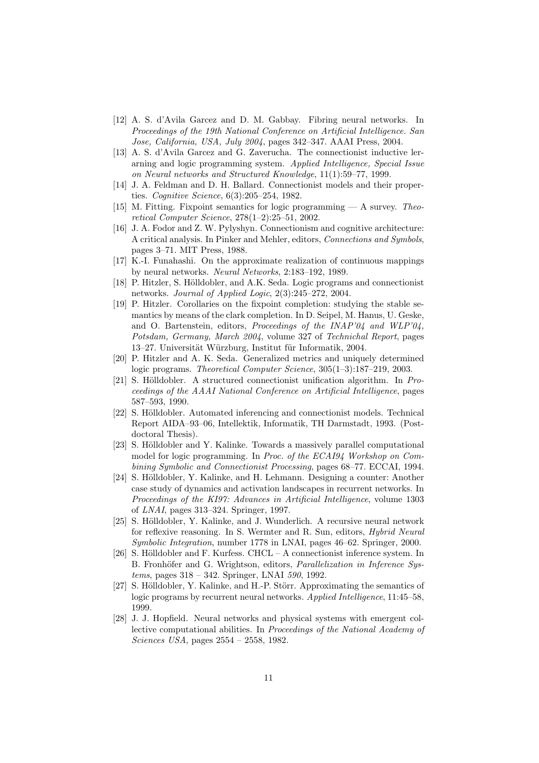- [12] A. S. d'Avila Garcez and D. M. Gabbay. Fibring neural networks. In Proceedings of the 19th National Conference on Artificial Intelligence. San Jose, California, USA, July 2004, pages 342–347. AAAI Press, 2004.
- [13] A. S. d'Avila Garcez and G. Zaverucha. The connectionist inductive lerarning and logic programming system. Applied Intelligence, Special Issue on Neural networks and Structured Knowledge, 11(1):59–77, 1999.
- [14] J. A. Feldman and D. H. Ballard. Connectionist models and their properties. Cognitive Science, 6(3):205–254, 1982.
- [15] M. Fitting. Fixpoint semantics for logic programming  $-$  A survey. Theoretical Computer Science, 278(1–2):25–51, 2002.
- [16] J. A. Fodor and Z. W. Pylyshyn. Connectionism and cognitive architecture: A critical analysis. In Pinker and Mehler, editors, Connections and Symbols, pages 3–71. MIT Press, 1988.
- [17] K.-I. Funahashi. On the approximate realization of continuous mappings by neural networks. Neural Networks, 2:183–192, 1989.
- [18] P. Hitzler, S. Hölldobler, and A.K. Seda. Logic programs and connectionist networks. Journal of Applied Logic, 2(3):245–272, 2004.
- [19] P. Hitzler. Corollaries on the fixpoint completion: studying the stable semantics by means of the clark completion. In D. Seipel, M. Hanus, U. Geske, and O. Bartenstein, editors, Proceedings of the INAP'04 and WLP'04, Potsdam, Germany, March 2004, volume 327 of Technichal Report, pages 13–27. Universität Würzburg, Institut für Informatik, 2004.
- [20] P. Hitzler and A. K. Seda. Generalized metrics and uniquely determined logic programs. Theoretical Computer Science, 305(1–3):187–219, 2003.
- [21] S. Hölldobler. A structured connectionist unification algorithm. In  $Pro$ ceedings of the AAAI National Conference on Artificial Intelligence, pages 587–593, 1990.
- [22] S. Hölldobler. Automated inferencing and connectionist models. Technical Report AIDA–93–06, Intellektik, Informatik, TH Darmstadt, 1993. (Postdoctoral Thesis).
- [23] S. Hölldobler and Y. Kalinke. Towards a massively parallel computational model for logic programming. In Proc. of the ECAI94 Workshop on Combining Symbolic and Connectionist Processing, pages 68–77. ECCAI, 1994.
- [24] S. Hölldobler, Y. Kalinke, and H. Lehmann. Designing a counter: Another case study of dynamics and activation landscapes in recurrent networks. In Proceedings of the KI97: Advances in Artificial Intelligence, volume 1303 of LNAI, pages 313–324. Springer, 1997.
- [25] S. Hölldobler, Y. Kalinke, and J. Wunderlich. A recursive neural network for reflexive reasoning. In S. Wermter and R. Sun, editors, Hybrid Neural Symbolic Integration, number 1778 in LNAI, pages 46–62. Springer, 2000.
- [26] S. Hölldobler and F. Kurfess. CHCL A connectionist inference system. In B. Fronhöfer and G. Wrightson, editors, *Parallelization in Inference Sys*tems, pages 318 – 342. Springer, LNAI 590, 1992.
- [27] S. Hölldobler, Y. Kalinke, and H.-P. Störr. Approximating the semantics of logic programs by recurrent neural networks. Applied Intelligence, 11:45–58, 1999.
- [28] J. J. Hopfield. Neural networks and physical systems with emergent collective computational abilities. In Proceedings of the National Academy of Sciences USA, pages 2554 – 2558, 1982.